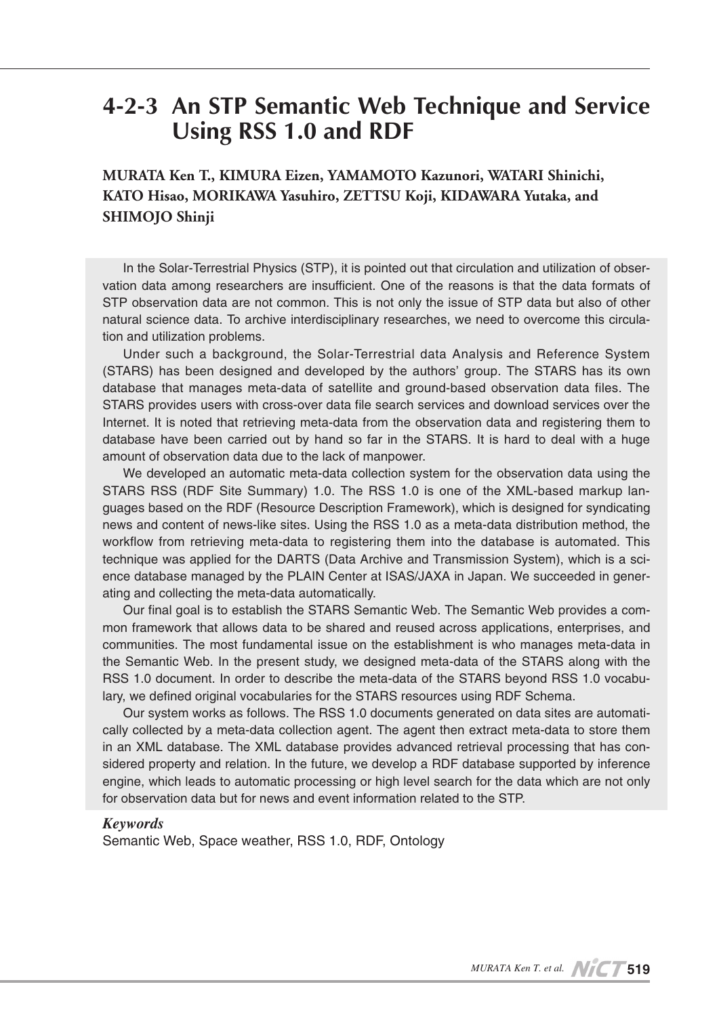## 4-2-3 An STP Semantic Web Technique and Service **Using RSS 1.0 and RDF**

**MURATA Ken T., KIMURA Eizen, YAMAMOTO Kazunori, WATARI Shinichi,** KATO Hisao, MORIKAWA Yasuhiro, ZETTSU Koji, KIDAWARA Yutaka, and **SHIMOJO** Shinji

vation data among researchers are insufficient. One of the reasons is that the data formats of In the Solar-Terrestrial Physics (STP), it is pointed out that circulation and utilization of obser-STP observation data are not common. This is not only the issue of STP data but also of other natural science data. To archive interdisciplinary researches, we need to overcome this circula-<br>tion and utilization problems.

Under such a background, the Solar-Terrestrial data Analysis and Reference System (STARS) has been designed and developed by the authors' group. The STARS has its own database that manages meta-data of satellite and ground-based observation data files. The STARS provides users with cross-over data file search services and download services over the Internet. It is noted that retrieving meta-data from the observation data and registering them to database have been carried out by hand so far in the STARS. It is hard to deal with a huge amount of observation data due to the lack of manpower.

We developed an automatic meta-data collection system for the observation data using the guages based on the RDF (Resource Description Framework), which is designed for syndicating STARS RSS (RDF Site Summary) 1.0. The RSS 1.0 is one of the XML-based markup lannews and content of news-like sites. Using the RSS 1.0 as a meta-data distribution method, the workflow from retrieving meta-data to registering them into the database is automated. This ence database managed by the PLAIN Center at ISAS/JAXA in Japan. We succeeded in generating and collecting the meta-data automatically. technique was applied for the DARTS (Data Archive and Transmission System), which is a sci-<br>ence database managed by the PLAIN Center at ISAS/JAXA in Japan. We succeeded in gener-

mon framework that allows data to be shared and reused across applications, enterprises, and Our final goal is to establish the STARS Semantic Web. The Semantic Web provides a comcommunities. The most fundamental issue on the establishment is who manages meta-data in the Semantic Web. In the present study, we designed meta-data of the STARS along with the RSS 1.0 document. In order to describe the meta-data of the STARS beyond RSS 1.0 vocabu-<br>lary, we defined original vocabularies for the STARS resources using RDF Schema.

cally collected by a meta-data collection agent. The agent then extract meta-data to store them Our system works as follows. The RSS 1.0 documents generated on data sites are automatisidered property and relation. In the future, we develop a RDF database supported by inference in an XML database. The XML database provides advanced retrieval processing that has conengine, which leads to automatic processing or high level search for the data which are not only for observation data but for news and event information related to the STP.

#### *Keywords*

Semantic Web, Space weather, RSS 1.0, RDF, Ontology